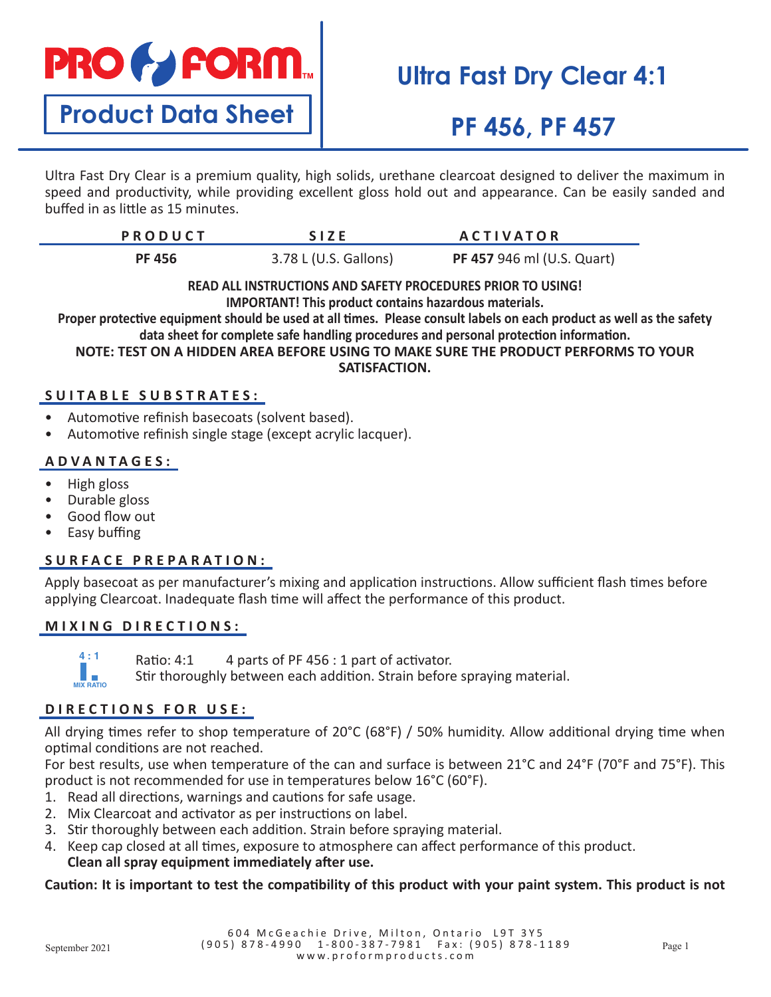# **PRO & FORM**

**Product Data Sheet**

# **Ultra Fast Dry Clear 4:1**

# **PF 456, PF 457**

Ultra Fast Dry Clear is a premium quality, high solids, urethane clearcoat designed to deliver the maximum in speed and productivity, while providing excellent gloss hold out and appearance. Can be easily sanded and buffed in as little as 15 minutes.

| <b>PRODUCT</b> | <b>SIZE</b>           | <b>ACTIVATOR</b>                  |
|----------------|-----------------------|-----------------------------------|
| <b>PF 456</b>  | 3.78 L (U.S. Gallons) | <b>PF 457 946 ml (U.S. Quart)</b> |

#### **READ ALL INSTRUCTIONS AND SAFETY PROCEDURES PRIOR TO USING! IMPORTANT! This product contains hazardous materials.**

**Proper protective equipment should be used at all times. Please consult labels on each product as well as the safety data sheet for complete safe handling procedures and personal protection information.**

**NOTE: TEST ON A HIDDEN AREA BEFORE USING TO MAKE SURE THE PRODUCT PERFORMS TO YOUR SATISFACTION.**

### **SUITABLE SUBSTRATES:**

- Automotive refinish basecoats (solvent based).
- Automotive refinish single stage (except acrylic lacquer).

### **ADVANTAGES:**

- High gloss
- Durable gloss
- Good flow out
- Easy buffing

### **SURFACE PREPARATION:**

Apply basecoat as per manufacturer's mixing and application instructions. Allow sufficient flash times before applying Clearcoat. Inadequate flash time will affect the performance of this product.

### **MIXING DIRECTIONS:**



Ratio: 4:1 4 parts of PF 456 : 1 part of activator. **R**<sup>2</sup>**i**o: 1:1

Stir thoroughly between each addition. Strain before spraying material. **MIX RATIO MIX RATIO**

### **DIRECTIONS FOR USE:**

All drying times refer to shop temperature of 20°C (68°F) / 50% humidity. Allow additional drying time when optimal conditions are not reached.

For best results, use when temperature of the can and surface is between 21°C and 24°F (70°F and 75°F). This product is not recommended for use in temperatures below 16°C (60°F).

- 1. Read all directions, warnings and cautions for safe usage.
- 2. Mix Clearcoat and activator as per instructions on label.
- 3. Stir thoroughly between each addition. Strain before spraying material.
- 4. Keep cap closed at all times, exposure to atmosphere can affect performance of this product.

### **Clean all spray equipment immediately after use.**

### **Caution: It is important to test the compatibility of this product with your paint system. This product is not**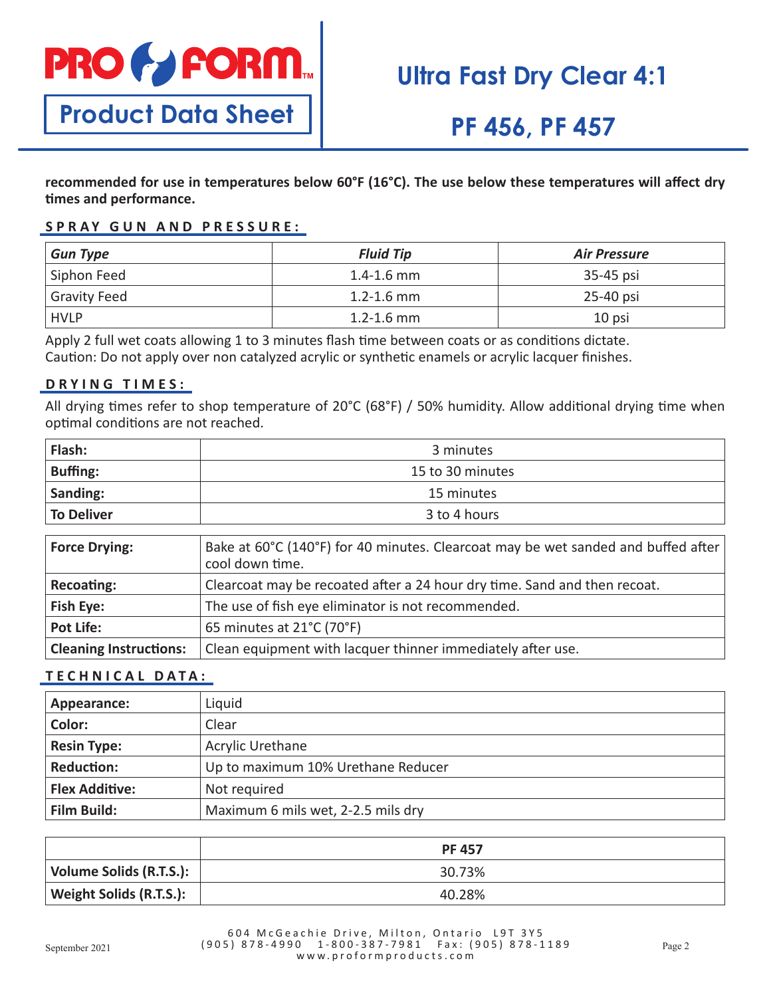

# **Ultra Fast Dry Clear 4:1**

**Product Data Sheet**

## **PF 456, PF 457**

**recommended for use in temperatures below 60°F (16°C). The use below these temperatures will affect dry times and performance.**

### **SPRAY GUN AND PRESSURE:**

| <b>Gun Type</b>     | <b>Fluid Tip</b> | <b>Air Pressure</b> |
|---------------------|------------------|---------------------|
| Siphon Feed         | $1.4 - 1.6$ mm   | 35-45 psi           |
| <b>Gravity Feed</b> | $1.2 - 1.6$ mm   | 25-40 psi           |
| <b>HVLP</b>         | $1.2 - 1.6$ mm   | 10 psi              |

Apply 2 full wet coats allowing 1 to 3 minutes flash time between coats or as conditions dictate. Caution: Do not apply over non catalyzed acrylic or synthetic enamels or acrylic lacquer finishes.

### **DRYING TIMES:**

All drying times refer to shop temperature of 20°C (68°F) / 50% humidity. Allow additional drying time when optimal conditions are not reached.

| Flash:          | 3 minutes        |
|-----------------|------------------|
| <b>Buffing:</b> | 15 to 30 minutes |
| Sanding:        | 15 minutes       |
| To Deliver      | 3 to 4 hours     |

| <b>Force Drying:</b>          | Bake at 60°C (140°F) for 40 minutes. Clearcoat may be wet sanded and buffed after<br>cool down time. |
|-------------------------------|------------------------------------------------------------------------------------------------------|
| Recoating:                    | Clearcoat may be recoated after a 24 hour dry time. Sand and then recoat.                            |
| <b>Fish Eye:</b>              | The use of fish eye eliminator is not recommended.                                                   |
| <b>Pot Life:</b>              | 65 minutes at 21°C (70°F)                                                                            |
| <b>Cleaning Instructions:</b> | Clean equipment with lacquer thinner immediately after use.                                          |

### **TECHNICAL DATA:**

| Appearance:           | Liquid                             |
|-----------------------|------------------------------------|
| Color:                | Clear                              |
| <b>Resin Type:</b>    | Acrylic Urethane                   |
| <b>Reduction:</b>     | Up to maximum 10% Urethane Reducer |
| <b>Flex Additive:</b> | Not required                       |
| <b>Film Build:</b>    | Maximum 6 mils wet, 2-2.5 mils dry |

|                         | <b>PF 457</b> |
|-------------------------|---------------|
| Volume Solids (R.T.S.): | 30.73%        |
| Weight Solids (R.T.S.): | 40.28%        |